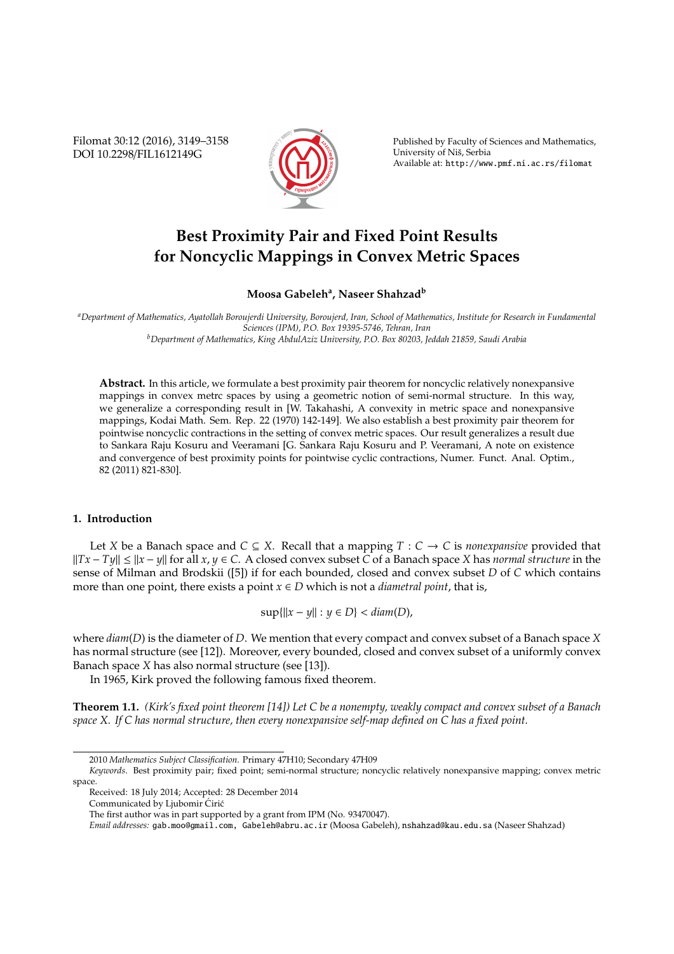Filomat 30:12 (2016), 3149–3158 DOI 10.2298/FIL1612149G



Published by Faculty of Sciences and Mathematics, University of Nis, Serbia ˇ Available at: http://www.pmf.ni.ac.rs/filomat

# **Best Proximity Pair and Fixed Point Results for Noncyclic Mappings in Convex Metric Spaces**

# **Moosa Gabeleh<sup>a</sup> , Naseer Shahzad<sup>b</sup>**

*<sup>a</sup>Department of Mathematics, Ayatollah Boroujerdi University, Boroujerd, Iran, School of Mathematics, Institute for Research in Fundamental Sciences (IPM), P.O. Box 19395-5746, Tehran, Iran <sup>b</sup>Department of Mathematics, King AbdulAziz University, P.O. Box 80203, Jeddah 21859, Saudi Arabia*

**Abstract.** In this article, we formulate a best proximity pair theorem for noncyclic relatively nonexpansive mappings in convex metrc spaces by using a geometric notion of semi-normal structure. In this way, we generalize a corresponding result in [W. Takahashi, A convexity in metric space and nonexpansive mappings, Kodai Math. Sem. Rep. 22 (1970) 142-149]. We also establish a best proximity pair theorem for pointwise noncyclic contractions in the setting of convex metric spaces. Our result generalizes a result due to Sankara Raju Kosuru and Veeramani [G. Sankara Raju Kosuru and P. Veeramani, A note on existence and convergence of best proximity points for pointwise cyclic contractions, Numer. Funct. Anal. Optim., 82 (2011) 821-830].

## **1. Introduction**

Let *X* be a Banach space and  $C \subseteq X$ . Recall that a mapping  $T : C \to C$  is *nonexpansive* provided that *KTx* − *Ty*|| ≤ ||x − *y*|| for all *x*, *y* ∈ *C*. A closed convex subset *C* of a Banach space *X* has *normal structure* in the sense of Milman and Brodskii ([5]) if for each bounded, closed and convex subset *D* of *C* which contains more than one point, there exists a point  $x \in D$  which is not a *diametral point*, that is,

 $\sup{||x - y|| : y \in D} < diam(D)$ ,

where *diam*(*D*) is the diameter of *D*. We mention that every compact and convex subset of a Banach space *X* has normal structure (see [12]). Moreover, every bounded, closed and convex subset of a uniformly convex Banach space *X* has also normal structure (see [13]).

In 1965, Kirk proved the following famous fixed theorem.

**Theorem 1.1.** *(Kirk's fixed point theorem [14]) Let C be a nonempty, weakly compact and convex subset of a Banach space X. If C has normal structure, then every nonexpansive self-map defined on C has a fixed point.*

<sup>2010</sup> *Mathematics Subject Classification*. Primary 47H10; Secondary 47H09

*Keywords*. Best proximity pair; fixed point; semi-normal structure; noncyclic relatively nonexpansive mapping; convex metric space.

Received: 18 July 2014; Accepted: 28 December 2014

Communicated by Ljubomir Ćirić

The first author was in part supported by a grant from IPM (No. 93470047).

*Email addresses:* gab.moo@gmail.com, Gabeleh@abru.ac.ir (Moosa Gabeleh), nshahzad@kau.edu.sa (Naseer Shahzad)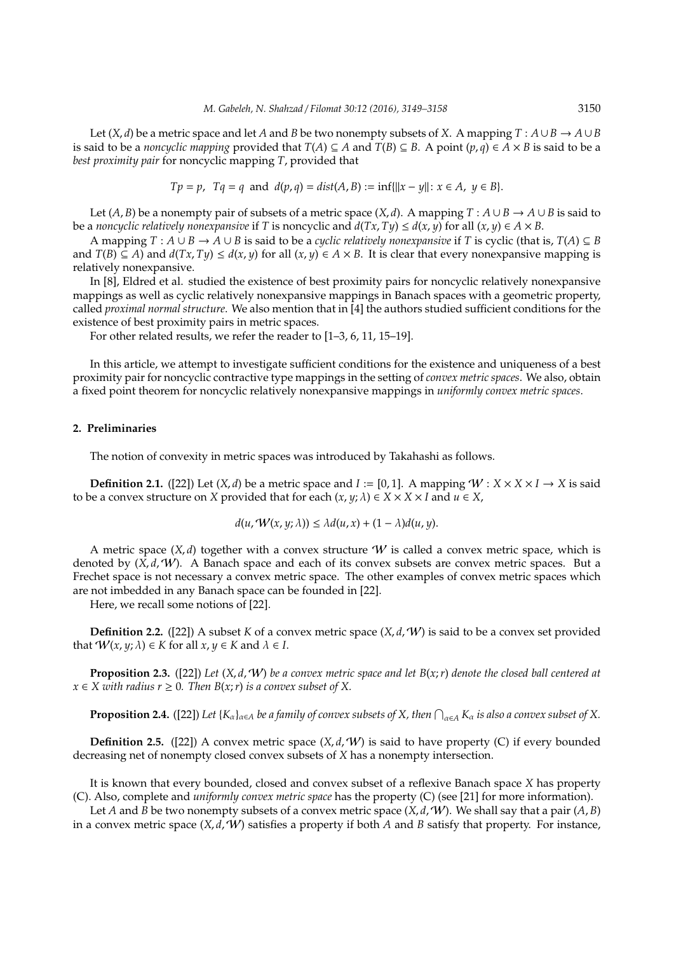Let  $(X, d)$  be a metric space and let *A* and *B* be two nonempty subsets of *X*. A mapping  $T : A \cup B \to A \cup B$ is said to be a *noncyclic mapping* provided that *T*(*A*) ⊆ *A* and *T*(*B*) ⊆ *B*. A point  $(p, q)$  ∈  $\overrightarrow{A} \times B$  is said to be a *best proximity pair* for noncyclic mapping *T*, provided that

$$
Tp = p
$$
,  $Tq = q$  and  $d(p,q) = dist(A, B) := inf{||x - y|| : x \in A, y \in B}.$ 

Let  $(A, B)$  be a nonempty pair of subsets of a metric space  $(X, d)$ . A mapping  $T : A \cup B \rightarrow A \cup B$  is said to be a *noncyclic relatively nonexpansive* if *T* is noncyclic and  $d(Tx, Ty) \leq d(x, y)$  for all  $(x, y) \in A \times B$ .

A mapping  $T : A ∪ B → A ∪ B$  is said to be a *cyclic relatively nonexpansive* if *T* is cyclic (that is,  $T(A) ⊆ B$ and  $T(B) \subseteq A$ ) and  $d(Tx, Ty) \leq d(x, y)$  for all  $(x, y) \in A \times B$ . It is clear that every nonexpansive mapping is relatively nonexpansive.

In [8], Eldred et al. studied the existence of best proximity pairs for noncyclic relatively nonexpansive mappings as well as cyclic relatively nonexpansive mappings in Banach spaces with a geometric property, called *proximal normal structure*. We also mention that in [4] the authors studied sufficient conditions for the existence of best proximity pairs in metric spaces.

For other related results, we refer the reader to [1–3, 6, 11, 15–19].

In this article, we attempt to investigate sufficient conditions for the existence and uniqueness of a best proximity pair for noncyclic contractive type mappings in the setting of *convex metric spaces*. We also, obtain a fixed point theorem for noncyclic relatively nonexpansive mappings in *uniformly convex metric spaces*.

## **2. Preliminaries**

The notion of convexity in metric spaces was introduced by Takahashi as follows.

**Definition 2.1.** ([22]) Let  $(X, d)$  be a metric space and  $I := [0, 1]$ . A mapping  $W : X \times X \times I \rightarrow X$  is said to be a convex structure on *X* provided that for each  $(x, y; \lambda) \in X \times X \times I$  and  $u \in X$ ,

$$
d(u, \mathcal{W}(x, y; \lambda)) \leq \lambda d(u, x) + (1 - \lambda) d(u, y).
$$

A metric space  $(X, d)$  together with a convex structure W is called a convex metric space, which is denoted by  $(\hat{X}, d, W)$ . A Banach space and each of its convex subsets are convex metric spaces. But a Frechet space is not necessary a convex metric space. The other examples of convex metric spaces which are not imbedded in any Banach space can be founded in [22].

Here, we recall some notions of [22].

**Definition 2.2.** ([22]) A subset *K* of a convex metric space  $(X, d, W)$  is said to be a convex set provided that  $W(x, y; \lambda) \in K$  for all  $x, y \in K$  and  $\lambda \in I$ .

**Proposition 2.3.** ([22]) *Let* (*X*, *d*,W) *be a convex metric space and let B*(*x*;*r*) *denote the closed ball centered at*  $x \in X$  with radius  $r \geq 0$ . Then  $B(x; r)$  *is a convex subset of* X.

**Proposition 2.4.** ([22]) Let  $\{K_\alpha\}_{\alpha\in A}$  be a family of convex subsets of X, then  $\bigcap_{\alpha\in A} K_\alpha$  is also a convex subset of X.

**Definition 2.5.** ([22]) A convex metric space  $(X, d, W)$  is said to have property (C) if every bounded decreasing net of nonempty closed convex subsets of *X* has a nonempty intersection.

It is known that every bounded, closed and convex subset of a reflexive Banach space *X* has property (C). Also, complete and *uniformly convex metric space* has the property (C) (see [21] for more information).

Let *A* and *B* be two nonempty subsets of a convex metric space  $(X, d, W)$ . We shall say that a pair  $(A, B)$ in a convex metric space  $(X, d, W)$  satisfies a property if both *A* and *B* satisfy that property. For instance,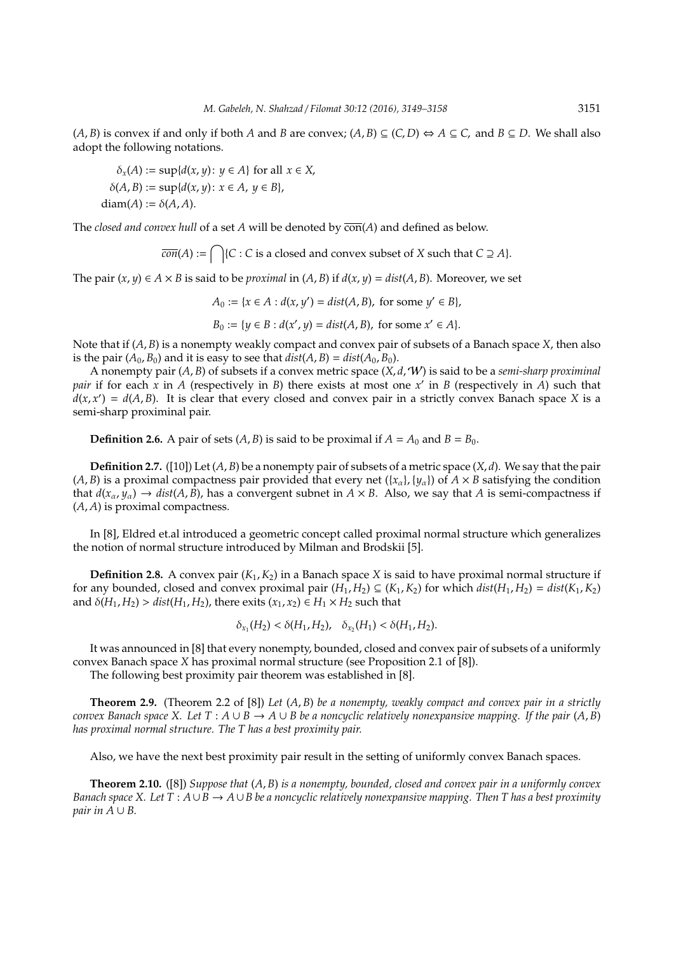$(A, B)$  is convex if and only if both *A* and *B* are convex;  $(A, B) \subseteq (C, D)$  ⇔  $A \subseteq C$ , and  $B \subseteq D$ . We shall also adopt the following notations.

 $\delta_x(A) := \sup\{d(x, y) : y \in A\}$  for all  $x \in X$ ,  $\delta(A, B) := \sup \{ d(x, y) : x \in A, y \in B \},$ diam( $A$ ) :=  $\delta(A, A)$ .

The *closed and convex hull* of a set *A* will be denoted by  $\overline{con}(A)$  and defined as below.

 $\overline{con}(A) := \bigcap \{C : C \text{ is a closed and convex subset of } X \text{ such that } C \supseteq A\}.$ 

The pair  $(x, y) \in A \times B$  is said to be *proximal* in  $(A, B)$  if  $d(x, y) = dist(A, B)$ . Moreover, we set

*A*<sup>0</sup> := {*x* ∈ *A* : *d*(*x*, *y*<sup> $\prime$ </sup>) = *dist*(*A*, *B*), for some *y*<sup> $\prime$ </sup> ∈ *B*},

$$
B_0 := \{ y \in B : d(x', y) = dist(A, B), \text{ for some } x' \in A \}.
$$

Note that if (*A*, *B*) is a nonempty weakly compact and convex pair of subsets of a Banach space *X*, then also is the pair  $(A_0, B_0)$  and it is easy to see that  $dist(A, B) = dist(A_0, B_0)$ .

A nonempty pair (*A*, *B*) of subsets if a convex metric space (*X*, *d*,W) is said to be a *semi-sharp proximinal pair* if for each x in A (respectively in *B*) there exists at most one x' in *B* (respectively in A) such that  $d(x, x') = d(A, B)$ . It is clear that every closed and convex pair in a strictly convex Banach space *X* is a semi-sharp proximinal pair.

**Definition 2.6.** A pair of sets  $(A, B)$  is said to be proximal if  $A = A_0$  and  $B = B_0$ .

**Definition 2.7.** ([10]) Let  $(A, B)$  be a nonempty pair of subsets of a metric space  $(X, d)$ . We say that the pair  $(A, B)$  is a proximal compactness pair provided that every net  $({x_{\alpha}}_i, {y_{\alpha}}_i)$  of  $A \times B$  satisfying the condition that  $d(x_\alpha, y_\alpha) \to dist(A, B)$ , has a convergent subnet in  $A \times B$ . Also, we say that *A* is semi-compactness if (*A*, *A*) is proximal compactness.

In [8], Eldred et.al introduced a geometric concept called proximal normal structure which generalizes the notion of normal structure introduced by Milman and Brodskii [5].

**Definition 2.8.** A convex pair (*K*1,*K*2) in a Banach space *X* is said to have proximal normal structure if for any bounded, closed and convex proximal pair  $(H_1, H_2) \subseteq (K_1, K_2)$  for which  $dist(H_1, H_2) = dist(K_1, K_2)$ and  $\delta(H_1, H_2) > dist(H_1, H_2)$ , there exits  $(x_1, x_2) \in H_1 \times H_2$  such that

$$
\delta_{x_1}(H_2) < \delta(H_1, H_2), \quad \delta_{x_2}(H_1) < \delta(H_1, H_2).
$$

It was announced in [8] that every nonempty, bounded, closed and convex pair of subsets of a uniformly convex Banach space *X* has proximal normal structure (see Proposition 2.1 of [8]).

The following best proximity pair theorem was established in [8].

**Theorem 2.9.** (Theorem 2.2 of [8]) *Let* (*A*, *B*) *be a nonempty, weakly compact and convex pair in a strictly convex Banach space X. Let*  $T : A \cup B \rightarrow A \cup B$  *be a noncyclic relatively nonexpansive mapping. If the pair*  $(A, B)$ *has proximal normal structure. The T has a best proximity pair.*

Also, we have the next best proximity pair result in the setting of uniformly convex Banach spaces.

**Theorem 2.10.** ([8]) *Suppose that* (*A*, *B*) *is a nonempty, bounded, closed and convex pair in a uniformly convex Banach space X. Let*  $T : A \cup B \rightarrow A \cup B$  *be a noncyclic relatively nonexpansive mapping. Then T has a best proximity pair in A*  $\cup$  *B*.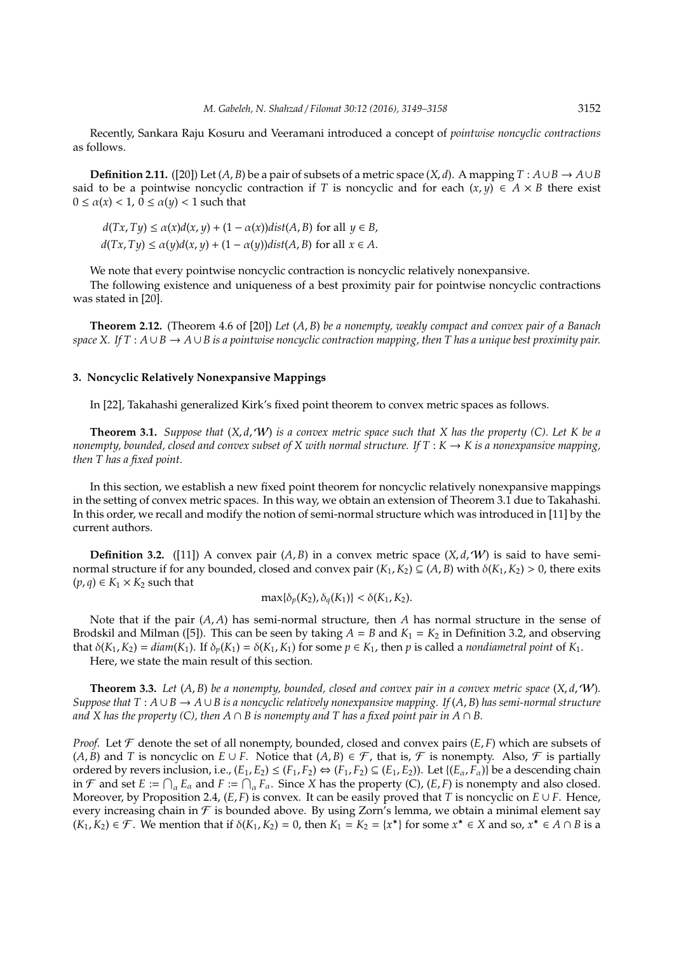Recently, Sankara Raju Kosuru and Veeramani introduced a concept of *pointwise noncyclic contractions* as follows.

**Definition 2.11.** ([20]) Let  $(A, B)$  be a pair of subsets of a metric space  $(X, d)$ . A mapping  $T : A \cup B \rightarrow A \cup B$ said to be a pointwise noncyclic contraction if *T* is noncyclic and for each  $(x, y) \in A \times B$  there exist  $0 \leq \alpha(x) < 1$ ,  $0 \leq \alpha(y) < 1$  such that

 $d(Tx, Ty) \le \alpha(x)d(x, y) + (1 - \alpha(x))dist(A, B)$  for all  $y \in B$ ,  $d(Tx, Ty) \le \alpha(y)d(x, y) + (1 - \alpha(y))dist(A, B)$  for all  $x \in A$ .

We note that every pointwise noncyclic contraction is noncyclic relatively nonexpansive.

The following existence and uniqueness of a best proximity pair for pointwise noncyclic contractions was stated in [20].

**Theorem 2.12.** (Theorem 4.6 of [20]) *Let* (*A*, *B*) *be a nonempty, weakly compact and convex pair of a Banach space X. If T* : *A* ∪*B* → *A* ∪*B is a pointwise noncyclic contraction mapping, then T has a unique best proximity pair.*

## **3. Noncyclic Relatively Nonexpansive Mappings**

In [22], Takahashi generalized Kirk's fixed point theorem to convex metric spaces as follows.

**Theorem 3.1.** *Suppose that* (*X*, *d*,W) *is a convex metric space such that X has the property (C). Let K be a nonempty, bounded, closed and convex subset of X with normal structure. If*  $T : K \to K$  *is a nonexpansive mapping, then T has a fixed point.*

In this section, we establish a new fixed point theorem for noncyclic relatively nonexpansive mappings in the setting of convex metric spaces. In this way, we obtain an extension of Theorem 3.1 due to Takahashi. In this order, we recall and modify the notion of semi-normal structure which was introduced in [11] by the current authors.

**Definition 3.2.** ([11]) A convex pair  $(A, B)$  in a convex metric space  $(X, d, W)$  is said to have seminormal structure if for any bounded, closed and convex pair  $(K_1, K_2) \subseteq (A, B)$  with  $\delta(K_1, K_2) > 0$ , there exits  $(p, q) \in K_1 \times K_2$  such that

$$
\max\{\delta_p(K_2), \delta_q(K_1)\} < \delta(K_1, K_2).
$$

Note that if the pair (*A*, *A*) has semi-normal structure, then *A* has normal structure in the sense of Brodskil and Milman ([5]). This can be seen by taking  $A = B$  and  $K_1 = K_2$  in Definition 3.2, and observing that  $\delta(K_1, K_2) = \text{diam}(K_1)$ . If  $\delta_p(K_1) = \delta(K_1, K_1)$  for some  $p \in K_1$ , then p is called a *nondiametral point* of  $K_1$ .

Here, we state the main result of this section.

**Theorem 3.3.** Let  $(A, B)$  be a nonempty, bounded, closed and convex pair in a convex metric space  $(X, d, W)$ . *Suppose that T* : *A* ∪*B* → *A* ∪*B is a noncyclic relatively nonexpansive mapping. If* (*A*, *B*) *has semi-normal structure and X has the property (C), then*  $A \cap B$  *is nonempty and T has a fixed point pair in*  $A \cap B$ *.* 

*Proof.* Let  $\mathcal F$  denote the set of all nonempty, bounded, closed and convex pairs  $(E, F)$  which are subsets of (*A*, *B*) and *T* is noncyclic on *E* ∪ *F*. Notice that (*A*, *B*) ∈  $\mathcal{F}$ , that is,  $\mathcal{F}$  is nonempty. Also,  $\mathcal{F}$  is partially ordered by revers inclusion, i.e.,  $(E_1, E_2) \le (F_1, F_2) \Leftrightarrow (F_1, F_2) \subseteq (E_1, E_2)$ ). Let  $\{(E_\alpha, F_\alpha)\}\)$  be a descending chain in  $\mathcal F$  and set  $E := \bigcap_{\alpha} E_{\alpha}$  and  $F := \bigcap_{\alpha} F_{\alpha}$ . Since *X* has the property (C), (*E*, *F*) is nonempty and also closed. Moreover, by Proposition 2.4,  $(E, F)$  is convex. It can be easily proved that *T* is noncyclic on  $E \cup F$ . Hence, every increasing chain in  $\mathcal F$  is bounded above. By using Zorn's lemma, we obtain a minimal element say  $(K_1, K_2) \in \mathcal{F}$ . We mention that if  $\delta(K_1, K_2) = 0$ , then  $K_1 = K_2 = \{x^*\}$  for some  $x^* \in X$  and so,  $x^* \in A \cap B$  is a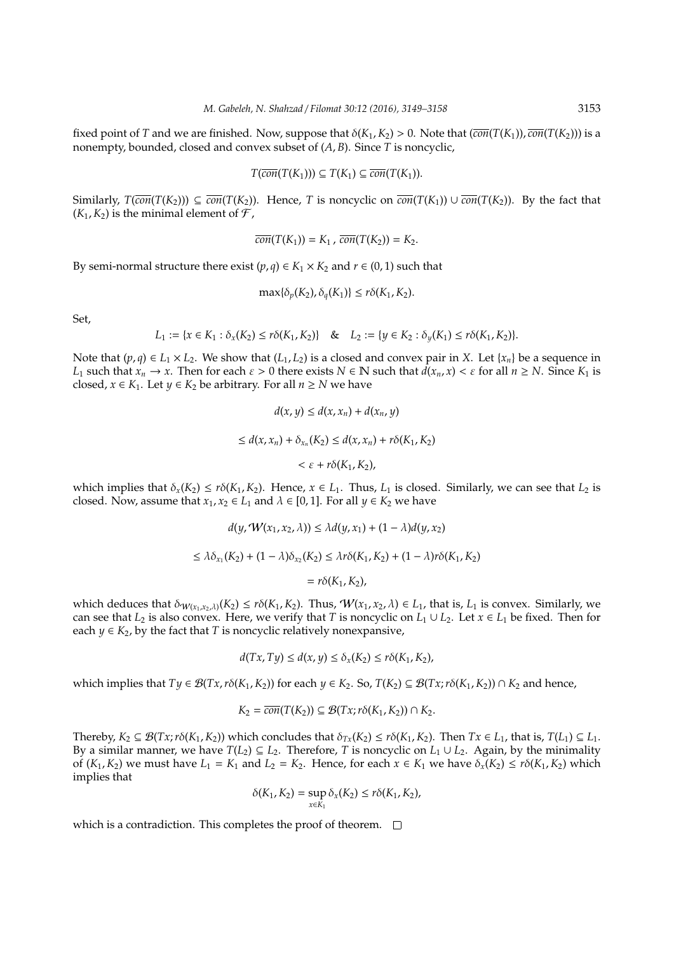fixed point of *T* and we are finished. Now, suppose that  $\delta(K_1, K_2) > 0$ . Note that  $(\overline{con}(T(K_1)), \overline{con}(T(K_2)))$  is a nonempty, bounded, closed and convex subset of (*A*, *B*). Since *T* is noncyclic,

$$
T(\overline{con}(T(K_1))) \subseteq T(K_1) \subseteq \overline{con}(T(K_1)).
$$

Similarly,  $T(\overline{con}(T(K_2)))$  ⊆  $\overline{con}(T(K_2))$ . Hence, *T* is noncyclic on  $\overline{con}(T(K_1)) \cup \overline{con}(T(K_2))$ . By the fact that  $(K_1, K_2)$  is the minimal element of  $\mathcal{F}$ ,

$$
\overline{con}(T(K_1))=K_1, \overline{con}(T(K_2))=K_2.
$$

By semi-normal structure there exist  $(p, q) \in K_1 \times K_2$  and  $r \in (0, 1)$  such that

$$
\max\{\delta_p(K_2), \delta_q(K_1)\} \leq r\delta(K_1, K_2).
$$

Set,

$$
L_1 := \{x \in K_1 : \delta_x(K_2) \le r\delta(K_1, K_2)\} \quad \& \quad L_2 := \{y \in K_2 : \delta_y(K_1) \le r\delta(K_1, K_2)\}.
$$

Note that  $(p,q) \in L_1 \times L_2$ . We show that  $(L_1, L_2)$  is a closed and convex pair in *X*. Let  $\{x_n\}$  be a sequence in *L*<sub>1</sub> such that  $x_n \to x$ . Then for each  $\varepsilon > 0$  there exists  $N \in \mathbb{N}$  such that  $d(x_n, x) < \varepsilon$  for all  $n \geq N$ . Since  $K_1$  is closed,  $x \in K_1$ . Let  $y \in K_2$  be arbitrary. For all  $n \geq N$  we have

$$
d(x, y) \le d(x, x_n) + d(x_n, y)
$$
  
\n
$$
\le d(x, x_n) + \delta_{x_n}(K_2) \le d(x, x_n) + r\delta(K_1, K_2)
$$
  
\n
$$
< \varepsilon + r\delta(K_1, K_2),
$$

which implies that  $\delta_x(K_2) \le r\delta(K_1, K_2)$ . Hence,  $x \in L_1$ . Thus,  $L_1$  is closed. Similarly, we can see that  $L_2$  is closed. Now, assume that  $x_1, x_2 \in L_1$  and  $\lambda \in [0, 1]$ . For all  $y \in K_2$  we have

$$
d(y, W(x_1, x_2, \lambda)) \le \lambda d(y, x_1) + (1 - \lambda)d(y, x_2)
$$
  

$$
\le \lambda \delta_{x_1}(K_2) + (1 - \lambda)\delta_{x_2}(K_2) \le \lambda r \delta(K_1, K_2) + (1 - \lambda)r\delta(K_1, K_2)
$$
  

$$
= r\delta(K_1, K_2),
$$

which deduces that  $\delta_{W(x_1,x_2,\lambda)}(K_2) \le r\delta(K_1,K_2)$ . Thus,  $W(x_1,x_2,\lambda) \in L_1$ , that is,  $L_1$  is convex. Similarly, we can see that  $L_2$  is also convex. Here, we verify that *T* is noncyclic on  $L_1 \cup L_2$ . Let  $x \in L_1$  be fixed. Then for each  $y \in K_2$ , by the fact that *T* is noncyclic relatively nonexpansive,

$$
d(Tx, Ty) \le d(x, y) \le \delta_x(K_2) \le r\delta(K_1, K_2),
$$

which implies that  $T\psi \in \mathcal{B}(Tx, r\delta(K_1, K_2))$  for each  $\psi \in K_2$ . So,  $T(K_2) \subseteq \mathcal{B}(Tx, r\delta(K_1, K_2)) \cap K_2$  and hence,

$$
K_2 = \overline{con}(T(K_2)) \subseteq \mathcal{B}(Tx; r\delta(K_1, K_2)) \cap K_2.
$$

Thereby,  $K_2 \subseteq \mathcal{B}(Tx; r\delta(K_1, K_2))$  which concludes that  $\delta_{Tx}(K_2) \leq r\delta(K_1, K_2)$ . Then  $Tx \in L_1$ , that is,  $T(L_1) \subseteq L_1$ . By a similar manner, we have  $T(L_2) \subseteq L_2$ . Therefore, *T* is noncyclic on  $L_1 \cup L_2$ . Again, by the minimality of  $(K_1, K_2)$  we must have  $L_1 = K_1$  and  $L_2 = K_2$ . Hence, for each  $x \in K_1$  we have  $\delta_x(K_2) \leq r\delta(K_1, K_2)$  which implies that

$$
\delta(K_1, K_2) = \sup_{x \in K_1} \delta_x(K_2) \leq r\delta(K_1, K_2),
$$

which is a contradiction. This completes the proof of theorem.  $\Box$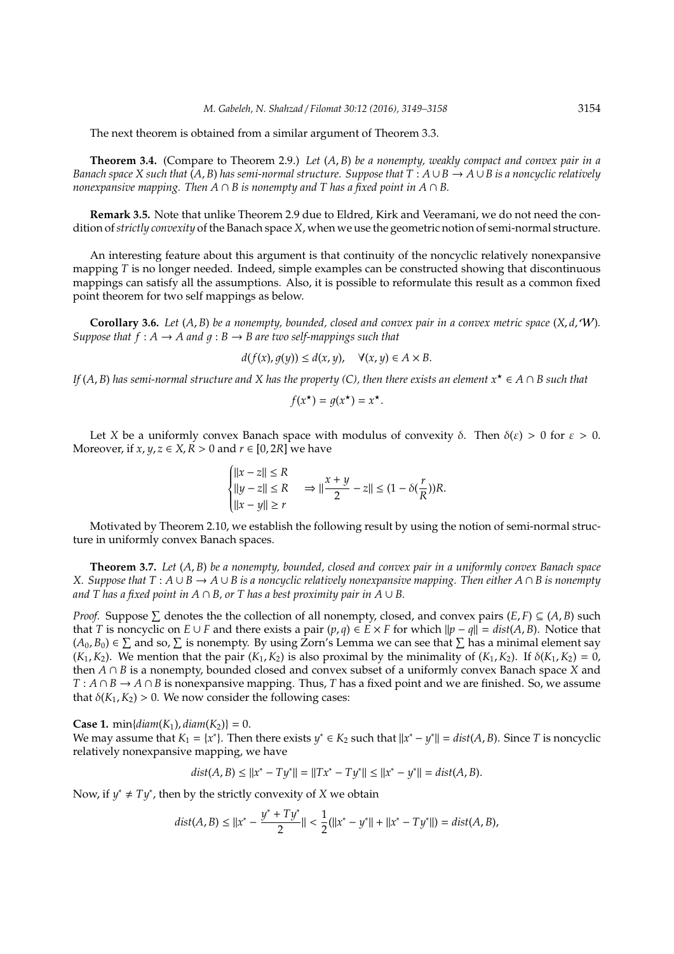The next theorem is obtained from a similar argument of Theorem 3.3.

**Theorem 3.4.** (Compare to Theorem 2.9.) *Let* (*A*, *B*) *be a nonempty, weakly compact and convex pair in a Banach space X such that*  $(A, B)$  *has semi-normal structure. Suppose that*  $T : A \cup B \rightarrow A \cup B$  *is a noncyclic relatively nonexpansive mapping. Then*  $A \cap B$  *is nonempty and T has a fixed point in*  $A \cap B$ *.* 

**Remark 3.5.** Note that unlike Theorem 2.9 due to Eldred, Kirk and Veeramani, we do not need the condition of*strictly convexity* of the Banach space *X*, when we use the geometric notion of semi-normal structure.

An interesting feature about this argument is that continuity of the noncyclic relatively nonexpansive mapping *T* is no longer needed. Indeed, simple examples can be constructed showing that discontinuous mappings can satisfy all the assumptions. Also, it is possible to reformulate this result as a common fixed point theorem for two self mappings as below.

**Corollary 3.6.** Let  $(A, B)$  be a nonempty, bounded, closed and convex pair in a convex metric space  $(X, d, W)$ . *Suppose that*  $f : A \rightarrow A$  *and*  $g : B \rightarrow B$  *are two self-mappings such that* 

$$
d(f(x), g(y)) \le d(x, y), \quad \forall (x, y) \in A \times B.
$$

*If*  $(A, B)$  *has semi-normal structure and X has the property (C), then there exists an element*  $x^* \in A \cap B$  *such that* 

$$
f(x^{\star}) = g(x^{\star}) = x^{\star}.
$$

Let *X* be a uniformly convex Banach space with modulus of convexity  $\delta$ . Then  $\delta(\varepsilon) > 0$  for  $\varepsilon > 0$ . Moreover, if  $x, y, z \in X, R > 0$  and  $r \in [0, 2R]$  we have

$$
\begin{cases}\n||x-z|| \le R \\
||y-z|| \le R \\
||x-y|| \ge r\n\end{cases} \Rightarrow ||\frac{x+y}{2} - z|| \le (1 - \delta(\frac{r}{R}))R.
$$

Motivated by Theorem 2.10, we establish the following result by using the notion of semi-normal structure in uniformly convex Banach spaces.

**Theorem 3.7.** *Let* (*A*, *B*) *be a nonempty, bounded, closed and convex pair in a uniformly convex Banach space X. Suppose that T* : *A* ∪ *B* → *A* ∪ *B is a noncyclic relatively nonexpansive mapping. Then either A* ∩ *B is nonempty* and T has a fixed point in  $A \cap B$ , or T has a best proximity pair in  $A \cup B$ .

*Proof.* Suppose  $\Sigma$  denotes the the collection of all nonempty, closed, and convex pairs  $(E, F) \subseteq (A, B)$  such that *T* is noncyclic on *E* ∪ *F* and there exists a pair  $(p,q) \in E \times F$  for which  $||p - q|| = dist(A, B)$ . Notice that  $(A_0, B_0)$  ∈  $\Sigma$  and so,  $\Sigma$  is nonempty. By using Zorn's Lemma we can see that  $\Sigma$  has a minimal element say  $(K_1, K_2)$ . We mention that the pair  $(K_1, K_2)$  is also proximal by the minimality of  $(K_1, K_2)$ . If  $\delta(K_1, K_2) = 0$ , then *A* ∩ *B* is a nonempty, bounded closed and convex subset of a uniformly convex Banach space *X* and *T* : *A* ∩ *B* → *A* ∩ *B* is nonexpansive mapping. Thus, *T* has a fixed point and we are finished. So, we assume that  $\delta(K_1, K_2) > 0$ . We now consider the following cases:

**Case 1.** min{*diam*( $K_1$ ), *diam*( $K_2$ )} = 0. We may assume that  $K_1 = \{x^*\}$ . Then there exists  $y^* \in K_2$  such that  $||x^* - y^*|| = dist(A, B)$ . Since *T* is noncyclic relatively nonexpansive mapping, we have

$$
dist(A, B) \le ||x^* - Ty^*|| = ||Tx^* - Ty^*|| \le ||x^* - y^*|| = dist(A, B).
$$

Now, if  $y^* \neq Ty^*$ , then by the strictly convexity of *X* we obtain

$$
dist(A, B) \le ||x^* - \frac{y^* + Ty^*}{2}|| < \frac{1}{2} (||x^* - y^*|| + ||x^* - Ty^*||) = dist(A, B),
$$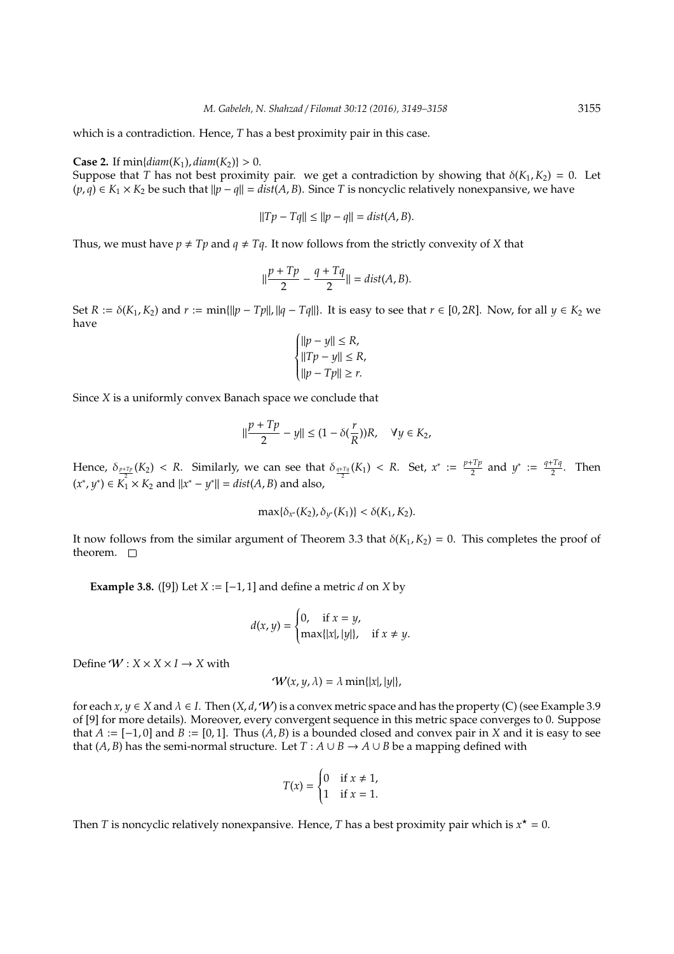which is a contradiction. Hence, *T* has a best proximity pair in this case.

**Case 2.** If  $min\{diam(K_1), diam(K_2)\} > 0$ .

Suppose that *T* has not best proximity pair. we get a contradiction by showing that  $\delta(K_1, K_2) = 0$ . Let  $(p, q) \in K_1 \times K_2$  be such that  $||p - q|| = dist(A, B)$ . Since *T* is noncyclic relatively nonexpansive, we have

$$
||Tp - Tq|| \le ||p - q|| = dist(A, B).
$$

Thus, we must have  $p \neq Tp$  and  $q \neq Tq$ . It now follows from the strictly convexity of *X* that

$$
||\frac{p+Tp}{2}-\frac{q+Tq}{2}||=dist(A,B).
$$

Set *R* :=  $\delta(K_1, K_2)$  and *r* := min{||*p* − *Tp*||, ||*q* − *Tq*||}. It is easy to see that *r* ∈ [0, 2*R*]. Now, for all *y* ∈ *K*<sub>2</sub> we have

$$
\begin{cases}\n||p - y|| \le R, \\
||Tp - y|| \le R, \\
||p - Tp|| \ge r.\n\end{cases}
$$

Since *X* is a uniformly convex Banach space we conclude that

$$
\|\frac{p+Tp}{2}-y\| \le (1-\delta(\frac{r}{R}))R, \quad \forall y \in K_2,
$$

Hence,  $\delta_{\frac{p+Tp}{2}}(K_2) < R$ . Similarly, we can see that  $\delta_{\frac{q+Tq}{2}}(K_1) < R$ . Set,  $x^* := \frac{p+Tp}{2}$  $(x^*, y^*) \in K_1^2 \times K_2$  and  $||x^* - y^*|| = dist(A, B)$  and also,  $y^* := \frac{q+Tq}{2}$  $\frac{114}{2}$ . Then

$$
\max{\{\delta_{x^*}(K_2), \delta_{y^*}(K_1)\}} < \delta(K_1, K_2).
$$

It now follows from the similar argument of Theorem 3.3 that  $\delta(K_1, K_2) = 0$ . This completes the proof of theorem.  $\square$ 

**Example 3.8.** ([9]) Let *X* :=  $[-1, 1]$  and define a metric *d* on *X* by

$$
d(x, y) = \begin{cases} 0, & \text{if } x = y, \\ \max\{|x|, |y|\}, & \text{if } x \neq y. \end{cases}
$$

Define  $W: X \times X \times I \rightarrow X$  with

$$
\mathcal{W}(x,y,\lambda)=\lambda \min\{|x|,|y|\},
$$

for each  $x, y \in X$  and  $\lambda \in I$ . Then  $(X, d, W)$  is a convex metric space and has the property (C) (see Example 3.9 of [9] for more details). Moreover, every convergent sequence in this metric space converges to 0. Suppose that  $A := [-1, 0]$  and  $B := [0, 1]$ . Thus  $(A, B)$  is a bounded closed and convex pair in *X* and it is easy to see that  $(A, B)$  has the semi-normal structure. Let  $T : A \cup B \rightarrow A \cup B$  be a mapping defined with

$$
T(x) = \begin{cases} 0 & \text{if } x \neq 1, \\ 1 & \text{if } x = 1. \end{cases}
$$

Then *T* is noncyclic relatively nonexpansive. Hence, *T* has a best proximity pair which is  $x^* = 0$ .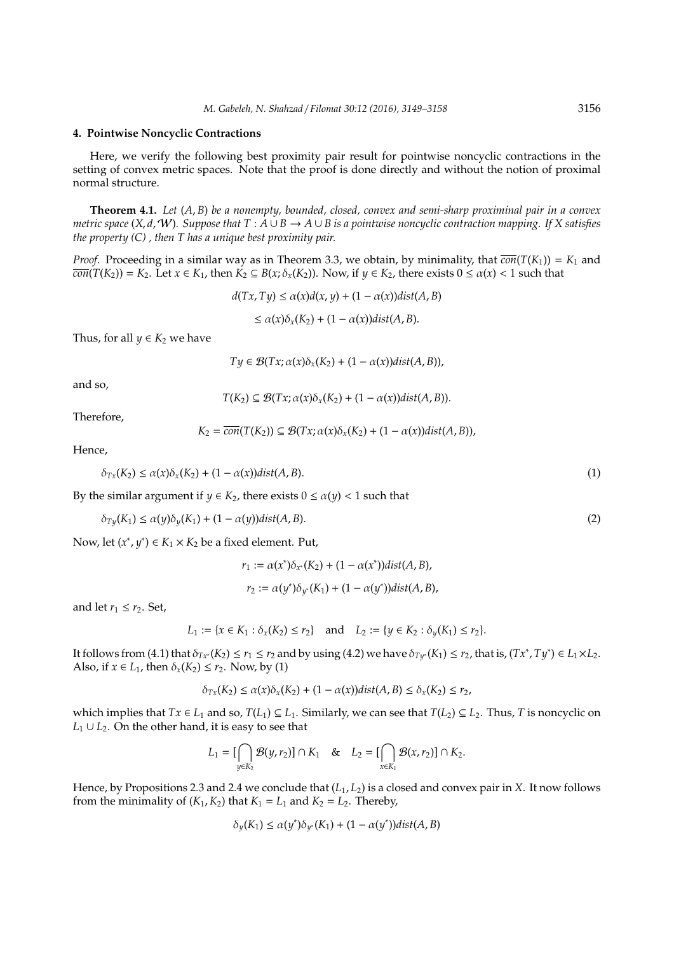#### **4. Pointwise Noncyclic Contractions**

Here, we verify the following best proximity pair result for pointwise noncyclic contractions in the setting of convex metric spaces. Note that the proof is done directly and without the notion of proximal normal structure.

**Theorem 4.1.** *Let* (*A*, *B*) *be a nonempty, bounded, closed, convex and semi-sharp proximinal pair in a convex metric space* (*X*, *d*,W)*. Suppose that T* : *A* ∪ *B* → *A* ∪ *B is a pointwise noncyclic contraction mapping. If X satisfies the property (C) , then T has a unique best proximity pair.*

*Proof.* Proceeding in a similar way as in Theorem 3.3, we obtain, by minimality, that  $\overline{con}(T(K_1)) = K_1$  and  $\overline{con}(T(K_2)) = K_2$ . Let  $x \in K_1$ , then  $K_2 \subseteq B(x; \delta_x(K_2))$ . Now, if  $y \in K_2$ , there exists  $0 \le \alpha(x) < 1$  such that

$$
d(Tx, Ty) \le \alpha(x)d(x, y) + (1 - \alpha(x))dist(A, B)
$$

$$
\leq \alpha(x)\delta_x(K_2) + (1-\alpha(x))\mathrm{dist}(A,B).
$$

Thus, for all  $y \in K_2$  we have

 $T\psi \in \mathcal{B}(Tx; \alpha(x)\delta_x(K_2) + (1 - \alpha(x))\text{dist}(A, B)),$ 

and so,

$$
T(K_2) \subseteq \mathcal{B}(Tx; \alpha(x)\delta_x(K_2) + (1 - \alpha(x))dist(A, B)).
$$

Therefore,

$$
K_2 = \overline{con}(T(K_2)) \subseteq \mathcal{B}(Tx; \alpha(x)\delta_x(K_2) + (1 - \alpha(x))\text{dist}(A, B)),
$$

Hence,

$$
\delta_{Tx}(K_2) \le \alpha(x)\delta_x(K_2) + (1 - \alpha(x))\text{dist}(A, B). \tag{1}
$$

By the similar argument if  $y \in K_2$ , there exists  $0 \le \alpha(y) < 1$  such that

$$
\delta_{Ty}(K_1) \le \alpha(y)\delta_y(K_1) + (1 - \alpha(y))\text{dist}(A, B). \tag{2}
$$

Now, let  $(x^*, y^*) \in K_1 \times K_2$  be a fixed element. Put,

$$
r_1 := \alpha(x^*)\delta_{x^*}(K_2) + (1 - \alpha(x^*))dist(A, B),
$$
  

$$
r_2 := \alpha(y^*)\delta_{y^*}(K_1) + (1 - \alpha(y^*))dist(A, B),
$$

and let  $r_1 \leq r_2$ . Set,

$$
L_1 := \{x \in K_1 : \delta_x(K_2) \le r_2\} \quad \text{and} \quad L_2 := \{y \in K_2 : \delta_y(K_1) \le r_2\}.
$$

It follows from (4.1) that  $\delta_{Tx^*}(K_2) \le r_1 \le r_2$  and by using (4.2) we have  $\delta_{Ty^*}(K_1) \le r_2$ , that is,  $(Tx^*, Ty^*) \in L_1 \times L_2$ . Also, if  $x \in L_1$ , then  $\delta_x(K_2) \le r_2$ . Now, by (1)

$$
\delta_{Tx}(K_2) \le \alpha(x)\delta_x(K_2) + (1-\alpha(x))dist(A,B) \le \delta_x(K_2) \le r_2,
$$

which implies that  $Tx \in L_1$  and so,  $T(L_1) \subseteq L_1$ . Similarly, we can see that  $T(L_2) \subseteq L_2$ . Thus, *T* is noncyclic on  $L_1 \cup L_2$ . On the other hand, it is easy to see that

$$
L_1 = \left[\bigcap_{y \in K_2} \mathcal{B}(y,r_2)\right] \cap K_1 \quad \& \quad L_2 = \left[\bigcap_{x \in K_1} \mathcal{B}(x,r_2)\right] \cap K_2.
$$

Hence, by Propositions 2.3 and 2.4 we conclude that (*L*1, *L*2) is a closed and convex pair in *X*. It now follows from the minimality of  $(K_1, K_2)$  that  $K_1 = L_1$  and  $K_2 = L_2$ . Thereby,

$$
\delta_y(K_1) \le \alpha(y^*) \delta_{y^*}(K_1) + (1 - \alpha(y^*)) \text{dist}(A, B)
$$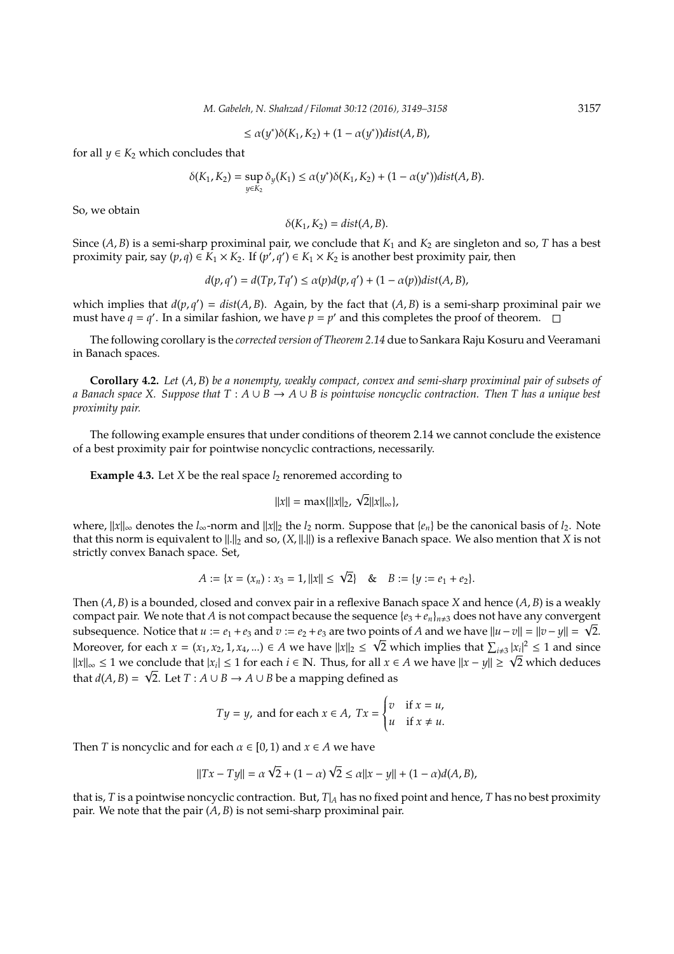$\leq \alpha(y^*)\delta(K_1, K_2) + (1 - \alpha(y^*))dist(A, B),$ 

for all  $y \in K_2$  which concludes that

$$
\delta(K_1, K_2) = \sup_{y \in K_2} \delta_y(K_1) \le \alpha(y^*)\delta(K_1, K_2) + (1 - \alpha(y^*))dist(A, B).
$$

So, we obtain

$$
\delta(K_1, K_2) = dist(A, B).
$$

Since  $(A, B)$  is a semi-sharp proximinal pair, we conclude that  $K_1$  and  $K_2$  are singleton and so, *T* has a best proximity pair, say  $(p, q) \in K_1 \times K_2$ . If  $(p', q') \in K_1 \times K_2$  is another best proximity pair, then

$$
d(p,q') = d(Tp,Tq') \le \alpha(p)d(p,q') + (1-\alpha(p))dist(A,B),
$$

which implies that  $d(p, q') = dist(A, B)$ . Again, by the fact that  $(A, B)$  is a semi-sharp proximinal pair we must have  $q = q'$ . In a similar fashion, we have  $p = p'$  and this completes the proof of theorem.

The following corollary is the *corrected version of Theorem 2.14* due to Sankara Raju Kosuru and Veeramani in Banach spaces.

**Corollary 4.2.** *Let* (*A*, *B*) *be a nonempty, weakly compact, convex and semi-sharp proximinal pair of subsets of a Banach space X. Suppose that T* : *A* ∪ *B* → *A* ∪ *B is pointwise noncyclic contraction. Then T has a unique best proximity pair.*

The following example ensures that under conditions of theorem 2.14 we cannot conclude the existence of a best proximity pair for pointwise noncyclic contractions, necessarily.

**Example 4.3.** Let *X* be the real space  $l_2$  renoremed according to

$$
||x|| = \max{||x||_2, \sqrt{2}||x||_{\infty}},
$$

*where,*  $||x||_{\infty}$  denotes the *l*<sub>∞</sub>-norm and  $||x||_2$  the *l*<sub>2</sub> norm. Suppose that {*e<sub>n</sub>*} be the canonical basis of *l*<sub>2</sub>. Note that this norm is equivalent to  $||.||_2$  and so,  $(X, ||.||)$  is a reflexive Banach space. We also mention that *X* is not strictly convex Banach space. Set,

$$
A := \{x = (x_n) : x_3 = 1, ||x|| \le \sqrt{2}\} \quad \& \quad B := \{y := e_1 + e_2\}.
$$

Then (*A*, *B*) is a bounded, closed and convex pair in a reflexive Banach space *X* and hence (*A*, *B*) is a weakly compact pair. We note that *A* is not compact because the sequence  $\{e_3 + e_n\}_{n \neq 3}$  does not have any convergent subsequence. Notice that  $u := e_1 + e_3$  and  $v := e_2 + e_3$  are two points of *A* and we have  $||u - v|| = ||v - y|| = \sqrt{2}$ . Moreover, for each  $x = (x_1, x_2, 1, x_4, ...) \in A$  we have  $||x||_2 \leq \sqrt{2}$  which implies that  $\sum_{i \neq 3} |x_i|^2 \leq 1$  and since *Moreover, for each*  $x = (x_1, x_2, 1, x_4, ...)$  ∈ *A* we have  $||x||_2 \le \sqrt{2}$  which implies that  $\sum_{i \neq 3} |x_i|^2 \le 1$  and since  $||x||_{\infty} \le 1$  we conclude that  $|x_i| \le 1$  for each  $i \in \mathbb{N}$ . Thus, for all  $x \in A$  we have  $||x$ that  $d(A, B) = \sqrt{2}$ . Let  $T : A \cup B \rightarrow A \cup B$  be a mapping defined as

$$
Ty = y
$$
, and for each  $x \in A$ ,  $Tx = \begin{cases} v & \text{if } x = u, \\ u & \text{if } x \neq u. \end{cases}$ 

Then *T* is noncyclic and for each  $\alpha \in [0, 1)$  and  $x \in A$  we have

$$
||Tx - Ty|| = \alpha \sqrt{2} + (1 - \alpha) \sqrt{2} \le \alpha ||x - y|| + (1 - \alpha) d(A, B),
$$

that is, *T* is a pointwise noncyclic contraction. But, *T*|*<sup>A</sup>* has no fixed point and hence, *T* has no best proximity pair. We note that the pair (*A*, *B*) is not semi-sharp proximinal pair.